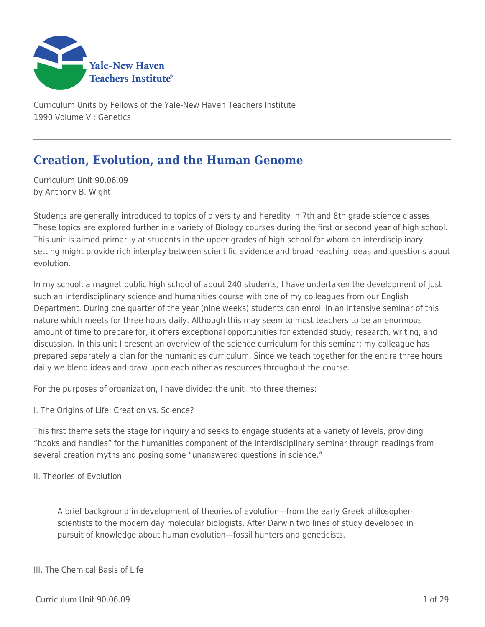

Curriculum Units by Fellows of the Yale-New Haven Teachers Institute 1990 Volume VI: Genetics

# **Creation, Evolution, and the Human Genome**

Curriculum Unit 90.06.09 by Anthony B. Wight

Students are generally introduced to topics of diversity and heredity in 7th and 8th grade science classes. These topics are explored further in a variety of Biology courses during the first or second year of high school. This unit is aimed primarily at students in the upper grades of high school for whom an interdisciplinary setting might provide rich interplay between scientific evidence and broad reaching ideas and questions about evolution.

In my school, a magnet public high school of about 240 students, I have undertaken the development of just such an interdisciplinary science and humanities course with one of my colleagues from our English Department. During one quarter of the year (nine weeks) students can enroll in an intensive seminar of this nature which meets for three hours daily. Although this may seem to most teachers to be an enormous amount of time to prepare for, it offers exceptional opportunities for extended study, research, writing, and discussion. In this unit I present an overview of the science curriculum for this seminar; my colleague has prepared separately a plan for the humanities curriculum. Since we teach together for the entire three hours daily we blend ideas and draw upon each other as resources throughout the course.

For the purposes of organization, I have divided the unit into three themes:

I. The Origins of Life: Creation vs. Science?

This first theme sets the stage for inquiry and seeks to engage students at a variety of levels, providing "hooks and handles" for the humanities component of the interdisciplinary seminar through readings from several creation myths and posing some "unanswered questions in science."

II. Theories of Evolution

A brief background in development of theories of evolution—from the early Greek philosopherscientists to the modern day molecular biologists. After Darwin two lines of study developed in pursuit of knowledge about human evolution—fossil hunters and geneticists.

## III. The Chemical Basis of Life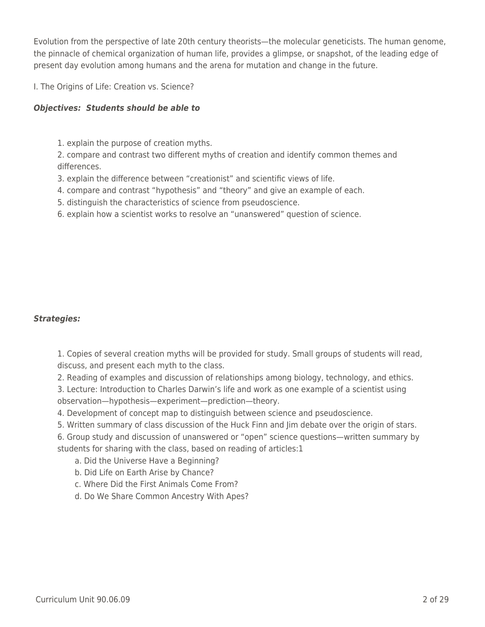Evolution from the perspective of late 20th century theorists—the molecular geneticists. The human genome, the pinnacle of chemical organization of human life, provides a glimpse, or snapshot, of the leading edge of present day evolution among humans and the arena for mutation and change in the future.

I. The Origins of Life: Creation vs. Science?

### *Objectives: Students should be able to*

1. explain the purpose of creation myths.

2. compare and contrast two different myths of creation and identify common themes and differences.

- 3. explain the difference between "creationist" and scientific views of life.
- 4. compare and contrast "hypothesis" and "theory" and give an example of each.
- 5. distinguish the characteristics of science from pseudoscience.
- 6. explain how a scientist works to resolve an "unanswered" question of science.

### *Strategies:*

1. Copies of several creation myths will be provided for study. Small groups of students will read, discuss, and present each myth to the class.

2. Reading of examples and discussion of relationships among biology, technology, and ethics.

3. Lecture: Introduction to Charles Darwin's life and work as one example of a scientist using observation—hypothesis—experiment—prediction—theory.

4. Development of concept map to distinguish between science and pseudoscience.

5. Written summary of class discussion of the Huck Finn and Jim debate over the origin of stars.

6. Group study and discussion of unanswered or "open" science questions—written summary by students for sharing with the class, based on reading of articles:1

- a. Did the Universe Have a Beginning?
- b. Did Life on Earth Arise by Chance?
- \_\_\_\_ c. Where Did the First Animals Come From?
- d. Do We Share Common Ancestry With Apes?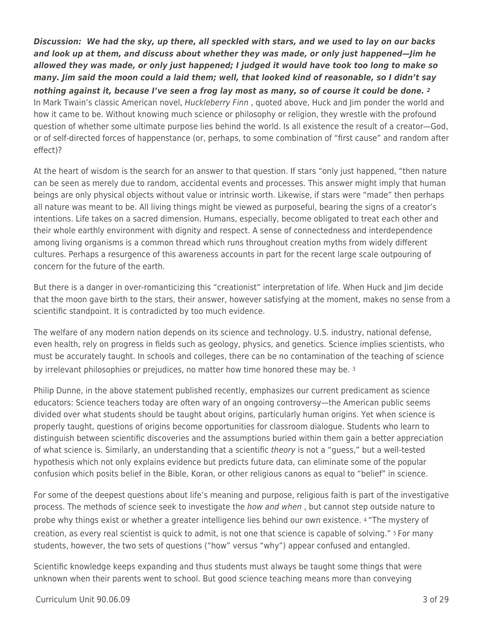*Discussion: We had the sky, up there, all speckled with stars, and we used to lay on our backs and look up at them, and discuss about whether they was made, or only just happened—Jim he allowed they was made, or only just happened; I judged it would have took too long to make so many. Jim said the moon could a laid them; well, that looked kind of reasonable, so I didn't say nothing against it, because I've seen a frog lay most as many, so of course it could be done. <sup>2</sup>* In Mark Twain's classic American novel, Huckleberry Finn, quoted above, Huck and Jim ponder the world and how it came to be. Without knowing much science or philosophy or religion, they wrestle with the profound question of whether some ultimate purpose lies behind the world. Is all existence the result of a creator—God, or of self-directed forces of happenstance (or, perhaps, to some combination of "first cause" and random after effect)?

At the heart of wisdom is the search for an answer to that question. If stars "only just happened, "then nature can be seen as merely due to random, accidental events and processes. This answer might imply that human beings are only physical objects without value or intrinsic worth. Likewise, if stars were "made" then perhaps all nature was meant to be. All living things might be viewed as purposeful, bearing the signs of a creator's intentions. Life takes on a sacred dimension. Humans, especially, become obligated to treat each other and their whole earthly environment with dignity and respect. A sense of connectedness and interdependence among living organisms is a common thread which runs throughout creation myths from widely different cultures. Perhaps a resurgence of this awareness accounts in part for the recent large scale outpouring of concern for the future of the earth.

But there is a danger in over-romanticizing this "creationist" interpretation of life. When Huck and Jim decide that the moon gave birth to the stars, their answer, however satisfying at the moment, makes no sense from a scientific standpoint. It is contradicted by too much evidence.

The welfare of any modern nation depends on its science and technology. U.S. industry, national defense, even health, rely on progress in fields such as geology, physics, and genetics. Science implies scientists, who must be accurately taught. In schools and colleges, there can be no contamination of the teaching of science by irrelevant philosophies or prejudices, no matter how time honored these may be. 3

Philip Dunne, in the above statement published recently, emphasizes our current predicament as science educators: Science teachers today are often wary of an ongoing controversy—the American public seems divided over what students should be taught about origins, particularly human origins. Yet when science is properly taught, questions of origins become opportunities for classroom dialogue. Students who learn to distinguish between scientific discoveries and the assumptions buried within them gain a better appreciation of what science is. Similarly, an understanding that a scientific theory is not a "guess," but a well-tested hypothesis which not only explains evidence but predicts future data, can eliminate some of the popular confusion which posits belief in the Bible, Koran, or other religious canons as equal to "belief" in science.

For some of the deepest questions about life's meaning and purpose, religious faith is part of the investigative process. The methods of science seek to investigate the *how and when*, but cannot step outside nature to probe why things exist or whether a greater intelligence lies behind our own existence. 4 "The mystery of creation, as every real scientist is quick to admit, is not one that science is capable of solving." 5 For many students, however, the two sets of questions ("how" versus "why") appear confused and entangled.

Scientific knowledge keeps expanding and thus students must always be taught some things that were unknown when their parents went to school. But good science teaching means more than conveying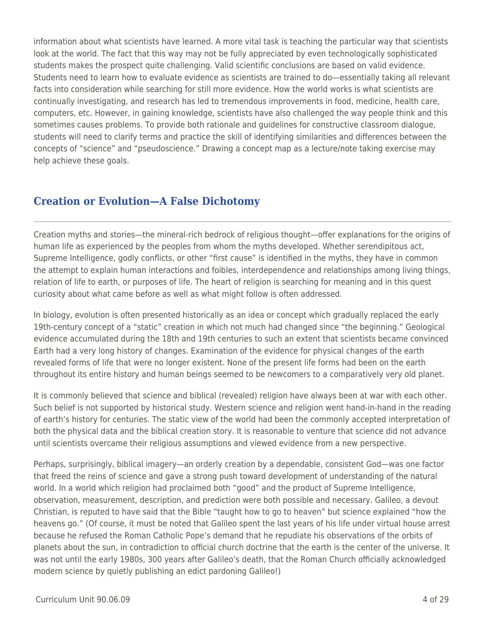information about what scientists have learned. A more vital task is teaching the particular way that scientists look at the world. The fact that this way may not be fully appreciated by even technologically sophisticated students makes the prospect quite challenging. Valid scientific conclusions are based on valid evidence. Students need to learn how to evaluate evidence as scientists are trained to do—essentially taking all relevant facts into consideration while searching for still more evidence. How the world works is what scientists are continually investigating, and research has led to tremendous improvements in food, medicine, health care, computers, etc. However, in gaining knowledge, scientists have also challenged the way people think and this sometimes causes problems. To provide both rationale and guidelines for constructive classroom dialogue, students will need to clarify terms and practice the skill of identifying similarities and differences between the concepts of "science" and "pseudoscience." Drawing a concept map as a lecture/note taking exercise may help achieve these goals.

## **Creation or Evolution—A False Dichotomy**

Creation myths and stories—the mineral-rich bedrock of religious thought—offer explanations for the origins of human life as experienced by the peoples from whom the myths developed. Whether serendipitous act, Supreme Intelligence, godly conflicts, or other "first cause" is identified in the myths, they have in common the attempt to explain human interactions and foibles, interdependence and relationships among living things, relation of life to earth, or purposes of life. The heart of religion is searching for meaning and in this quest curiosity about what came before as well as what might follow is often addressed.

In biology, evolution is often presented historically as an idea or concept which gradually replaced the early 19th-century concept of a "static" creation in which not much had changed since "the beginning." Geological evidence accumulated during the 18th and 19th centuries to such an extent that scientists became convinced Earth had a very long history of changes. Examination of the evidence for physical changes of the earth revealed forms of life that were no longer existent. None of the present life forms had been on the earth throughout its entire history and human beings seemed to be newcomers to a comparatively very old planet.

It is commonly believed that science and biblical (revealed) religion have always been at war with each other. Such belief is not supported by historical study. Western science and religion went hand-in-hand in the reading of earth's history for centuries. The static view of the world had been the commonly accepted interpretation of both the physical data and the biblical creation story. It is reasonable to venture that science did not advance until scientists overcame their religious assumptions and viewed evidence from a new perspective.

Perhaps, surprisingly, biblical imagery—an orderly creation by a dependable, consistent God—was one factor that freed the reins of science and gave a strong push toward development of understanding of the natural world. In a world which religion had proclaimed both "good" and the product of Supreme Intelligence, observation, measurement, description, and prediction were both possible and necessary. Galileo, a devout Christian, is reputed to have said that the Bible "taught how to go to heaven" but science explained "how the heavens go." (Of course, it must be noted that Galileo spent the last years of his life under virtual house arrest because he refused the Roman Catholic Pope's demand that he repudiate his observations of the orbits of planets about the sun, in contradiction to official church doctrine that the earth is the center of the universe. It was not until the early 1980s, 300 years after Galileo's death, that the Roman Church officially acknowledged modern science by quietly publishing an edict pardoning Galileo!)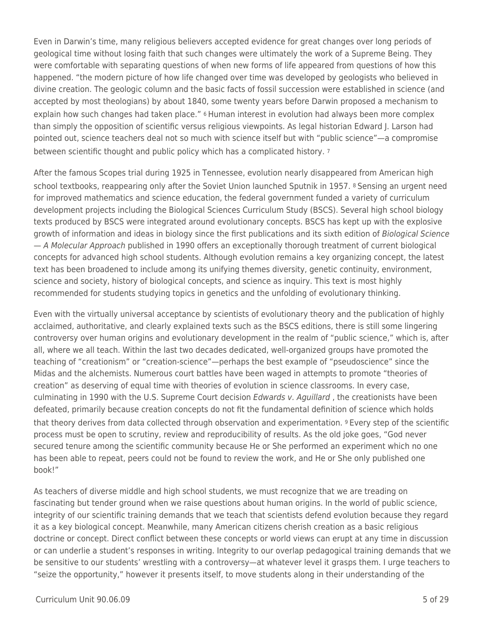Even in Darwin's time, many religious believers accepted evidence for great changes over long periods of geological time without losing faith that such changes were ultimately the work of a Supreme Being. They were comfortable with separating questions of when new forms of life appeared from questions of how this happened. "the modern picture of how life changed over time was developed by geologists who believed in divine creation. The geologic column and the basic facts of fossil succession were established in science (and accepted by most theologians) by about 1840, some twenty years before Darwin proposed a mechanism to explain how such changes had taken place." 6 Human interest in evolution had always been more complex than simply the opposition of scientific versus religious viewpoints. As legal historian Edward J. Larson had pointed out, science teachers deal not so much with science itself but with "public science"—a compromise between scientific thought and public policy which has a complicated history. 7

After the famous Scopes trial during 1925 in Tennessee, evolution nearly disappeared from American high school textbooks, reappearing only after the Soviet Union launched Sputnik in 1957. 8 Sensing an urgent need for improved mathematics and science education, the federal government funded a variety of curriculum development projects including the Biological Sciences Curriculum Study (BSCS). Several high school biology texts produced by BSCS were integrated around evolutionary concepts. BSCS has kept up with the explosive growth of information and ideas in biology since the first publications and its sixth edition of Biological Science — A Molecular Approach published in 1990 offers an exceptionally thorough treatment of current biological concepts for advanced high school students. Although evolution remains a key organizing concept, the latest text has been broadened to include among its unifying themes diversity, genetic continuity, environment, science and society, history of biological concepts, and science as inquiry. This text is most highly recommended for students studying topics in genetics and the unfolding of evolutionary thinking.

Even with the virtually universal acceptance by scientists of evolutionary theory and the publication of highly acclaimed, authoritative, and clearly explained texts such as the BSCS editions, there is still some lingering controversy over human origins and evolutionary development in the realm of "public science," which is, after all, where we all teach. Within the last two decades dedicated, well-organized groups have promoted the teaching of "creationism" or "creation-science"—perhaps the best example of "pseudoscience" since the Midas and the alchemists. Numerous court battles have been waged in attempts to promote "theories of creation" as deserving of equal time with theories of evolution in science classrooms. In every case, culminating in 1990 with the U.S. Supreme Court decision Edwards v. Aquillard, the creationists have been defeated, primarily because creation concepts do not fit the fundamental definition of science which holds that theory derives from data collected through observation and experimentation. 9 Every step of the scientific process must be open to scrutiny, review and reproducibility of results. As the old joke goes, "God never secured tenure among the scientific community because He or She performed an experiment which no one has been able to repeat, peers could not be found to review the work, and He or She only published one book!"

As teachers of diverse middle and high school students, we must recognize that we are treading on fascinating but tender ground when we raise questions about human origins. In the world of public science, integrity of our scientific training demands that we teach that scientists defend evolution because they regard it as a key biological concept. Meanwhile, many American citizens cherish creation as a basic religious doctrine or concept. Direct conflict between these concepts or world views can erupt at any time in discussion or can underlie a student's responses in writing. Integrity to our overlap pedagogical training demands that we be sensitive to our students' wrestling with a controversy—at whatever level it grasps them. I urge teachers to "seize the opportunity," however it presents itself, to move students along in their understanding of the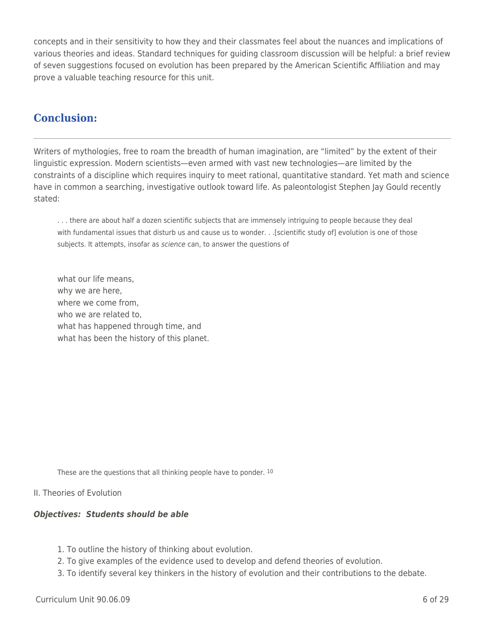concepts and in their sensitivity to how they and their classmates feel about the nuances and implications of various theories and ideas. Standard techniques for guiding classroom discussion will be helpful: a brief review of seven suggestions focused on evolution has been prepared by the American Scientific Affiliation and may prove a valuable teaching resource for this unit.

# **Conclusion:**

Writers of mythologies, free to roam the breadth of human imagination, are "limited" by the extent of their linguistic expression. Modern scientists—even armed with vast new technologies—are limited by the constraints of a discipline which requires inquiry to meet rational, quantitative standard. Yet math and science have in common a searching, investigative outlook toward life. As paleontologist Stephen Jay Gould recently stated:

. . . there are about half a dozen scientific subjects that are immensely intriguing to people because they deal with fundamental issues that disturb us and cause us to wonder. . .[scientific study of] evolution is one of those subjects. It attempts, insofar as science can, to answer the questions of

what our life means, why we are here, where we come from, who we are related to, what has happened through time, and what has been the history of this planet.

These are the questions that all thinking people have to ponder. 10

## II. Theories of Evolution

## *Objectives: Students should be able*

- 1. To outline the history of thinking about evolution.
- 2. To give examples of the evidence used to develop and defend theories of evolution.
- 3. To identify several key thinkers in the history of evolution and their contributions to the debate.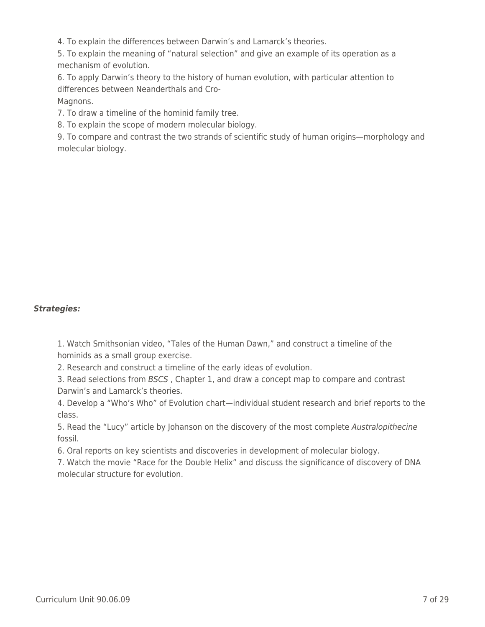4. To explain the differences between Darwin's and Lamarck's theories.

5. To explain the meaning of "natural selection" and give an example of its operation as a mechanism of evolution.

6. To apply Darwin's theory to the history of human evolution, with particular attention to differences between Neanderthals and Cro-Magnons.

7. To draw a timeline of the hominid family tree.

8. To explain the scope of modern molecular biology.

9. To compare and contrast the two strands of scientific study of human origins—morphology and molecular biology.

## *Strategies:*

1. Watch Smithsonian video, "Tales of the Human Dawn," and construct a timeline of the hominids as a small group exercise.

2. Research and construct a timeline of the early ideas of evolution.

3. Read selections from BSCS , Chapter 1, and draw a concept map to compare and contrast Darwin's and Lamarck's theories.

4. Develop a "Who's Who" of Evolution chart—individual student research and brief reports to the class.

5. Read the "Lucy" article by Johanson on the discovery of the most complete Australopithecine fossil.

6. Oral reports on key scientists and discoveries in development of molecular biology.

7. Watch the movie "Race for the Double Helix" and discuss the significance of discovery of DNA molecular structure for evolution.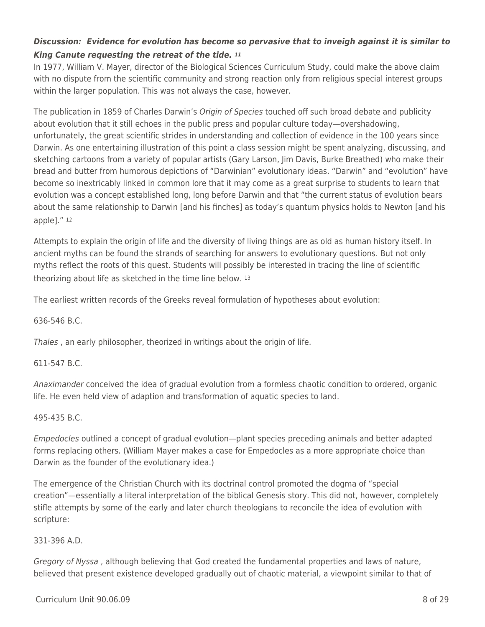## *Discussion: Evidence for evolution has become so pervasive that to inveigh against it is similar to King Canute requesting the retreat of the tide. <sup>11</sup>*

In 1977, William V. Mayer, director of the Biological Sciences Curriculum Study, could make the above claim with no dispute from the scientific community and strong reaction only from religious special interest groups within the larger population. This was not always the case, however.

The publication in 1859 of Charles Darwin's Origin of Species touched off such broad debate and publicity about evolution that it still echoes in the public press and popular culture today—overshadowing, unfortunately, the great scientific strides in understanding and collection of evidence in the 100 years since Darwin. As one entertaining illustration of this point a class session might be spent analyzing, discussing, and sketching cartoons from a variety of popular artists (Gary Larson, Jim Davis, Burke Breathed) who make their bread and butter from humorous depictions of "Darwinian" evolutionary ideas. "Darwin" and "evolution" have become so inextricably linked in common lore that it may come as a great surprise to students to learn that evolution was a concept established long, long before Darwin and that "the current status of evolution bears about the same relationship to Darwin [and his finches] as today's quantum physics holds to Newton [and his apple]." <sup>12</sup>

Attempts to explain the origin of life and the diversity of living things are as old as human history itself. In ancient myths can be found the strands of searching for answers to evolutionary questions. But not only myths reflect the roots of this quest. Students will possibly be interested in tracing the line of scientific theorizing about life as sketched in the time line below. <sup>13</sup>

The earliest written records of the Greeks reveal formulation of hypotheses about evolution:

636-546 B.C.

Thales , an early philosopher, theorized in writings about the origin of life.

### 611-547 B.C.

Anaximander conceived the idea of gradual evolution from a formless chaotic condition to ordered, organic life. He even held view of adaption and transformation of aquatic species to land.

### 495-435 B.C.

Empedocles outlined a concept of gradual evolution—plant species preceding animals and better adapted forms replacing others. (William Mayer makes a case for Empedocles as a more appropriate choice than Darwin as the founder of the evolutionary idea.)

The emergence of the Christian Church with its doctrinal control promoted the dogma of "special creation"—essentially a literal interpretation of the biblical Genesis story. This did not, however, completely stifle attempts by some of the early and later church theologians to reconcile the idea of evolution with scripture:

### 331-396 A.D.

Gregory of Nyssa , although believing that God created the fundamental properties and laws of nature, believed that present existence developed gradually out of chaotic material, a viewpoint similar to that of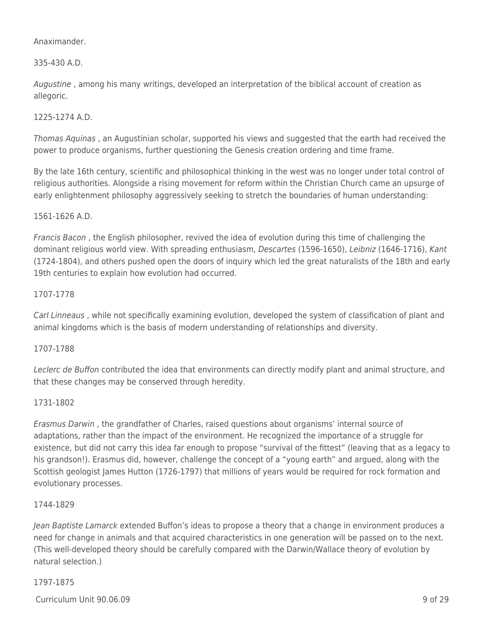### Anaximander.

## 335-430 A.D.

Augustine , among his many writings, developed an interpretation of the biblical account of creation as allegoric.

## 1225-1274 A.D.

Thomas Aquinas , an Augustinian scholar, supported his views and suggested that the earth had received the power to produce organisms, further questioning the Genesis creation ordering and time frame.

By the late 16th century, scientific and philosophical thinking in the west was no longer under total control of religious authorities. Alongside a rising movement for reform within the Christian Church came an upsurge of early enlightenment philosophy aggressively seeking to stretch the boundaries of human understanding:

### 1561-1626 A.D.

Francis Bacon , the English philosopher, revived the idea of evolution during this time of challenging the dominant religious world view. With spreading enthusiasm, Descartes (1596-1650), Leibniz (1646-1716), Kant (1724-1804), and others pushed open the doors of inquiry which led the great naturalists of the 18th and early 19th centuries to explain how evolution had occurred.

### 1707-1778

Carl Linneaus , while not specifically examining evolution, developed the system of classification of plant and animal kingdoms which is the basis of modern understanding of relationships and diversity.

### 1707-1788

Leclerc de Buffon contributed the idea that environments can directly modify plant and animal structure, and that these changes may be conserved through heredity.

### 1731-1802

Erasmus Darwin , the grandfather of Charles, raised questions about organisms' internal source of adaptations, rather than the impact of the environment. He recognized the importance of a struggle for existence, but did not carry this idea far enough to propose "survival of the fittest" (leaving that as a legacy to his grandson!). Erasmus did, however, challenge the concept of a "young earth" and argued, along with the Scottish geologist James Hutton (1726-1797) that millions of years would be required for rock formation and evolutionary processes.

### 1744-1829

Jean Baptiste Lamarck extended Buffon's ideas to propose a theory that a change in environment produces a need for change in animals and that acquired characteristics in one generation will be passed on to the next. (This well-developed theory should be carefully compared with the Darwin/Wallace theory of evolution by natural selection.)

### 1797-1875

 $C$ urriculum Unit 90.06.09  $\qquad \qquad$  9 of 29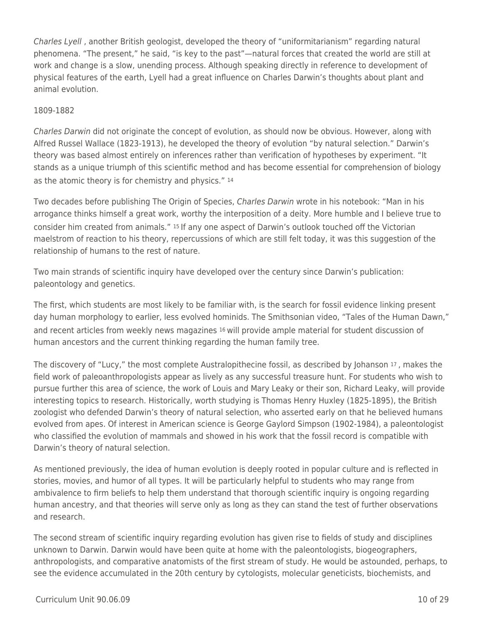Charles Lyell , another British geologist, developed the theory of "uniformitarianism" regarding natural phenomena. "The present," he said, "is key to the past"—natural forces that created the world are still at work and change is a slow, unending process. Although speaking directly in reference to development of physical features of the earth, Lyell had a great influence on Charles Darwin's thoughts about plant and animal evolution.

### 1809-1882

Charles Darwin did not originate the concept of evolution, as should now be obvious. However, along with Alfred Russel Wallace (1823-1913), he developed the theory of evolution "by natural selection." Darwin's theory was based almost entirely on inferences rather than verification of hypotheses by experiment. "It stands as a unique triumph of this scientific method and has become essential for comprehension of biology as the atomic theory is for chemistry and physics." 14

Two decades before publishing The Origin of Species, Charles Darwin wrote in his notebook: "Man in his arrogance thinks himself a great work, worthy the interposition of a deity. More humble and I believe true to consider him created from animals." 15 If any one aspect of Darwin's outlook touched off the Victorian maelstrom of reaction to his theory, repercussions of which are still felt today, it was this suggestion of the relationship of humans to the rest of nature.

Two main strands of scientific inquiry have developed over the century since Darwin's publication: paleontology and genetics.

The first, which students are most likely to be familiar with, is the search for fossil evidence linking present day human morphology to earlier, less evolved hominids. The Smithsonian video, "Tales of the Human Dawn," and recent articles from weekly news magazines 16 will provide ample material for student discussion of human ancestors and the current thinking regarding the human family tree.

The discovery of "Lucy," the most complete Australopithecine fossil, as described by Johanson 17 , makes the field work of paleoanthropologists appear as lively as any successful treasure hunt. For students who wish to pursue further this area of science, the work of Louis and Mary Leaky or their son, Richard Leaky, will provide interesting topics to research. Historically, worth studying is Thomas Henry Huxley (1825-1895), the British zoologist who defended Darwin's theory of natural selection, who asserted early on that he believed humans evolved from apes. Of interest in American science is George Gaylord Simpson (1902-1984), a paleontologist who classified the evolution of mammals and showed in his work that the fossil record is compatible with Darwin's theory of natural selection.

As mentioned previously, the idea of human evolution is deeply rooted in popular culture and is reflected in stories, movies, and humor of all types. It will be particularly helpful to students who may range from ambivalence to firm beliefs to help them understand that thorough scientific inquiry is ongoing regarding human ancestry, and that theories will serve only as long as they can stand the test of further observations and research.

The second stream of scientific inquiry regarding evolution has given rise to fields of study and disciplines unknown to Darwin. Darwin would have been quite at home with the paleontologists, biogeographers, anthropologists, and comparative anatomists of the first stream of study. He would be astounded, perhaps, to see the evidence accumulated in the 20th century by cytologists, molecular geneticists, biochemists, and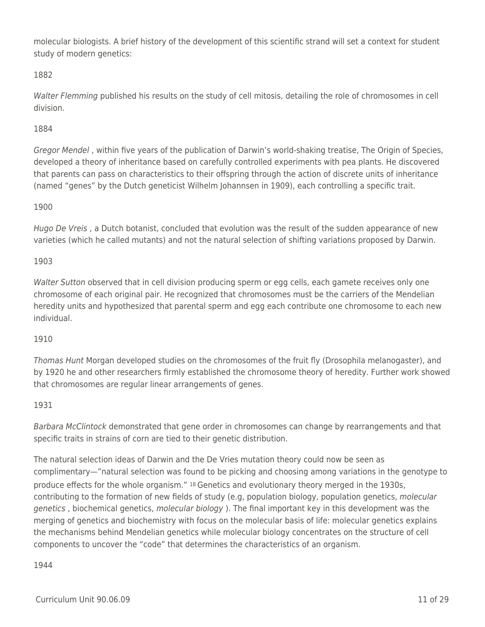molecular biologists. A brief history of the development of this scientific strand will set a context for student study of modern genetics:

## 1882

Walter Flemming published his results on the study of cell mitosis, detailing the role of chromosomes in cell division.

## 1884

Gregor Mendel , within five years of the publication of Darwin's world-shaking treatise, The Origin of Species, developed a theory of inheritance based on carefully controlled experiments with pea plants. He discovered that parents can pass on characteristics to their offspring through the action of discrete units of inheritance (named "genes" by the Dutch geneticist Wilhelm Johannsen in 1909), each controlling a specific trait.

## 1900

Hugo De Vreis , a Dutch botanist, concluded that evolution was the result of the sudden appearance of new varieties (which he called mutants) and not the natural selection of shifting variations proposed by Darwin.

### 1903

Walter Sutton observed that in cell division producing sperm or egg cells, each gamete receives only one chromosome of each original pair. He recognized that chromosomes must be the carriers of the Mendelian heredity units and hypothesized that parental sperm and egg each contribute one chromosome to each new individual.

## 1910

Thomas Hunt Morgan developed studies on the chromosomes of the fruit fly (Drosophila melanogaster), and by 1920 he and other researchers firmly established the chromosome theory of heredity. Further work showed that chromosomes are regular linear arrangements of genes.

### 1931

Barbara McClintock demonstrated that gene order in chromosomes can change by rearrangements and that specific traits in strains of corn are tied to their genetic distribution.

The natural selection ideas of Darwin and the De Vries mutation theory could now be seen as complimentary—"natural selection was found to be picking and choosing among variations in the genotype to produce effects for the whole organism." 18 Genetics and evolutionary theory merged in the 1930s, contributing to the formation of new fields of study (e.g, population biology, population genetics, molecular genetics, biochemical genetics, molecular biology). The final important key in this development was the merging of genetics and biochemistry with focus on the molecular basis of life: molecular genetics explains the mechanisms behind Mendelian genetics while molecular biology concentrates on the structure of cell components to uncover the "code" that determines the characteristics of an organism.

### 1944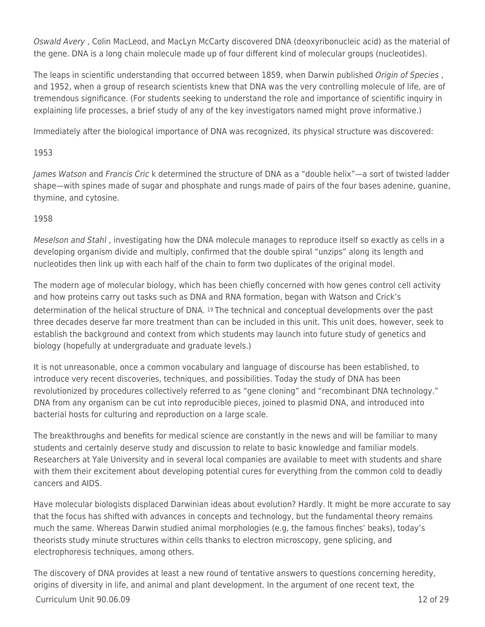Oswald Avery , Colin MacLeod, and MacLyn McCarty discovered DNA (deoxyribonucleic acid) as the material of the gene. DNA is a long chain molecule made up of four different kind of molecular groups (nucleotides).

The leaps in scientific understanding that occurred between 1859, when Darwin published Origin of Species, and 1952, when a group of research scientists knew that DNA was the very controlling molecule of life, are of tremendous significance. (For students seeking to understand the role and importance of scientific inquiry in explaining life processes, a brief study of any of the key investigators named might prove informative.)

Immediately after the biological importance of DNA was recognized, its physical structure was discovered:

## 1953

James Watson and Francis Cric k determined the structure of DNA as a "double helix"—a sort of twisted ladder shape—with spines made of sugar and phosphate and rungs made of pairs of the four bases adenine, guanine, thymine, and cytosine.

## 1958

Meselson and Stahl , investigating how the DNA molecule manages to reproduce itself so exactly as cells in a developing organism divide and multiply, confirmed that the double spiral "unzips" along its length and nucleotides then link up with each half of the chain to form two duplicates of the original model.

The modern age of molecular biology, which has been chiefly concerned with how genes control cell activity and how proteins carry out tasks such as DNA and RNA formation, began with Watson and Crick's determination of the helical structure of DNA. 19 The technical and conceptual developments over the past three decades deserve far more treatment than can be included in this unit. This unit does, however, seek to establish the background and context from which students may launch into future study of genetics and biology (hopefully at undergraduate and graduate levels.)

It is not unreasonable, once a common vocabulary and language of discourse has been established, to introduce very recent discoveries, techniques, and possibilities. Today the study of DNA has been revolutionized by procedures collectively referred to as "gene cloning" and "recombinant DNA technology." DNA from any organism can be cut into reproducible pieces, joined to plasmid DNA, and introduced into bacterial hosts for culturing and reproduction on a large scale.

The breakthroughs and benefits for medical science are constantly in the news and will be familiar to many students and certainly deserve study and discussion to relate to basic knowledge and familiar models. Researchers at Yale University and in several local companies are available to meet with students and share with them their excitement about developing potential cures for everything from the common cold to deadly cancers and AIDS.

Have molecular biologists displaced Darwinian ideas about evolution? Hardly. It might be more accurate to say that the focus has shifted with advances in concepts and technology, but the fundamental theory remains much the same. Whereas Darwin studied animal morphologies (e.g, the famous finches' beaks), today's theorists study minute structures within cells thanks to electron microscopy, gene splicing, and electrophoresis techniques, among others.

 $C$ urriculum Unit 90.06.09  $\qquad$  12 of 29 The discovery of DNA provides at least a new round of tentative answers to questions concerning heredity, origins of diversity in life, and animal and plant development. In the argument of one recent text, the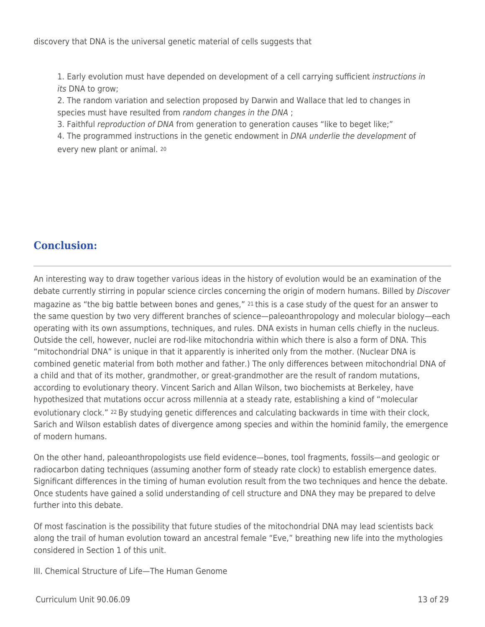1. Early evolution must have depended on development of a cell carrying sufficient instructions in its DNA to grow:

2. The random variation and selection proposed by Darwin and Wallace that led to changes in species must have resulted from random changes in the DNA ;

3. Faithful reproduction of DNA from generation to generation causes "like to beget like;"

4. The programmed instructions in the genetic endowment in DNA underlie the development of every new plant or animal. <sup>20</sup>

# **Conclusion:**

An interesting way to draw together various ideas in the history of evolution would be an examination of the debate currently stirring in popular science circles concerning the origin of modern humans. Billed by Discover magazine as "the big battle between bones and genes," 21 this is a case study of the quest for an answer to the same question by two very different branches of science—paleoanthropology and molecular biology—each operating with its own assumptions, techniques, and rules. DNA exists in human cells chiefly in the nucleus. Outside the cell, however, nuclei are rod-like mitochondria within which there is also a form of DNA. This "mitochondrial DNA" is unique in that it apparently is inherited only from the mother. (Nuclear DNA is combined genetic material from both mother and father.) The only differences between mitochondrial DNA of a child and that of its mother, grandmother, or great-grandmother are the result of random mutations, according to evolutionary theory. Vincent Sarich and Allan Wilson, two biochemists at Berkeley, have hypothesized that mutations occur across millennia at a steady rate, establishing a kind of "molecular evolutionary clock." 22 By studying genetic differences and calculating backwards in time with their clock, Sarich and Wilson establish dates of divergence among species and within the hominid family, the emergence of modern humans.

On the other hand, paleoanthropologists use field evidence—bones, tool fragments, fossils—and geologic or radiocarbon dating techniques (assuming another form of steady rate clock) to establish emergence dates. Significant differences in the timing of human evolution result from the two techniques and hence the debate. Once students have gained a solid understanding of cell structure and DNA they may be prepared to delve further into this debate.

Of most fascination is the possibility that future studies of the mitochondrial DNA may lead scientists back along the trail of human evolution toward an ancestral female "Eve," breathing new life into the mythologies considered in Section 1 of this unit.

III. Chemical Structure of Life—The Human Genome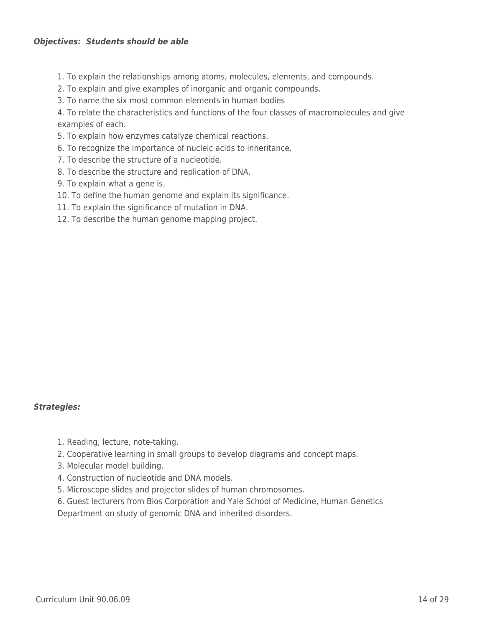### *Objectives: Students should be able*

- 1. To explain the relationships among atoms, molecules, elements, and compounds.
- 2. To explain and give examples of inorganic and organic compounds.
- 3. To name the six most common elements in human bodies

4. To relate the characteristics and functions of the four classes of macromolecules and give examples of each.

- 5. To explain how enzymes catalyze chemical reactions.
- 6. To recognize the importance of nucleic acids to inheritance.
- 7. To describe the structure of a nucleotide.
- 8. To describe the structure and replication of DNA.
- 9. To explain what a gene is.
- 10. To define the human genome and explain its significance.
- 11. To explain the significance of mutation in DNA.
- 12. To describe the human genome mapping project.

#### *Strategies:*

- 1. Reading, lecture, note-taking.
- 2. Cooperative learning in small groups to develop diagrams and concept maps.
- 3. Molecular model building.
- 4. Construction of nucleotide and DNA models.
- 5. Microscope slides and projector slides of human chromosomes.
- 6. Guest lecturers from Bios Corporation and Yale School of Medicine, Human Genetics

Department on study of genomic DNA and inherited disorders.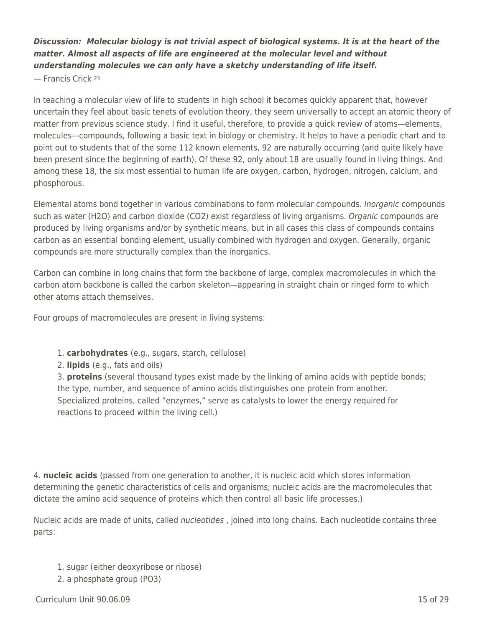## *Discussion: Molecular biology is not trivial aspect of biological systems. It is at the heart of the matter. Almost all aspects of life are engineered at the molecular level and without understanding molecules we can only have a sketchy understanding of life itself.*

— Francis Crick <sup>23</sup>

In teaching a molecular view of life to students in high school it becomes quickly apparent that, however uncertain they feel about basic tenets of evolution theory, they seem universally to accept an atomic theory of matter from previous science study. I find it useful, therefore, to provide a quick review of atoms—elements, molecules—compounds, following a basic text in biology or chemistry. It helps to have a periodic chart and to point out to students that of the some 112 known elements, 92 are naturally occurring (and quite likely have been present since the beginning of earth). Of these 92, only about 18 are usually found in living things. And among these 18, the six most essential to human life are oxygen, carbon, hydrogen, nitrogen, calcium, and phosphorous.

Elemental atoms bond together in various combinations to form molecular compounds. Inorganic compounds such as water (H2O) and carbon dioxide (CO2) exist regardless of living organisms. Organic compounds are produced by living organisms and/or by synthetic means, but in all cases this class of compounds contains carbon as an essential bonding element, usually combined with hydrogen and oxygen. Generally, organic compounds are more structurally complex than the inorganics.

Carbon can combine in long chains that form the backbone of large, complex macromolecules in which the carbon atom backbone is called the carbon skeleton—appearing in straight chain or ringed form to which other atoms attach themselves.

Four groups of macromolecules are present in living systems:

- 1. **carbohydrates** (e.g., sugars, starch, cellulose)
- 2. **lipids** (e.g., fats and oils)

3. **proteins** (several thousand types exist made by the linking of amino acids with peptide bonds; the type, number, and sequence of amino acids distinguishes one protein from another. Specialized proteins, called "enzymes," serve as catalysts to lower the energy required for reactions to proceed within the living cell.)

4. **nucleic acids** (passed from one generation to another, it is nucleic acid which stores information determining the genetic characteristics of cells and organisms; nucleic acids are the macromolecules that dictate the amino acid sequence of proteins which then control all basic life processes.)

Nucleic acids are made of units, called *nucleotides*, joined into long chains. Each nucleotide contains three parts:

- 1. sugar (either deoxyribose or ribose)
- 2. a phosphate group (PO3)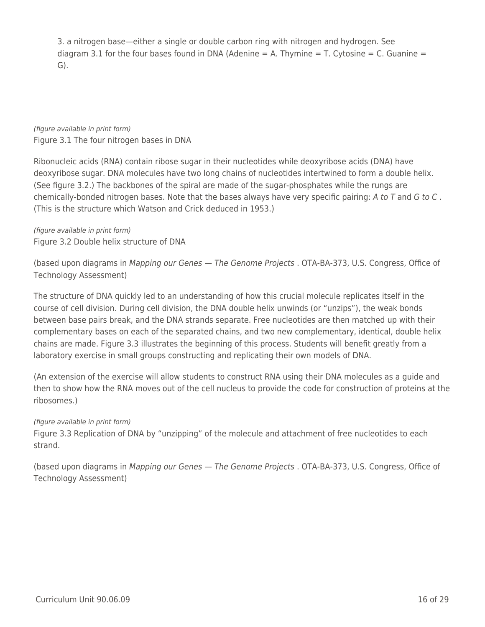3. a nitrogen base—either a single or double carbon ring with nitrogen and hydrogen. See diagram 3.1 for the four bases found in DNA (Adenine  $= A$ . Thymine  $= T$ . Cytosine  $= C$ . Guanine  $=$ G).

(figure available in print form) Figure 3.1 The four nitrogen bases in DNA

Ribonucleic acids (RNA) contain ribose sugar in their nucleotides while deoxyribose acids (DNA) have deoxyribose sugar. DNA molecules have two long chains of nucleotides intertwined to form a double helix. (See figure 3.2.) The backbones of the spiral are made of the sugar-phosphates while the rungs are chemically-bonded nitrogen bases. Note that the bases always have very specific pairing: A to T and G to C. (This is the structure which Watson and Crick deduced in 1953.)

(figure available in print form) Figure 3.2 Double helix structure of DNA

(based upon diagrams in Mapping our Genes — The Genome Projects . OTA-BA-373, U.S. Congress, Office of Technology Assessment)

The structure of DNA quickly led to an understanding of how this crucial molecule replicates itself in the course of cell division. During cell division, the DNA double helix unwinds (or "unzips"), the weak bonds between base pairs break, and the DNA strands separate. Free nucleotides are then matched up with their complementary bases on each of the separated chains, and two new complementary, identical, double helix chains are made. Figure 3.3 illustrates the beginning of this process. Students will benefit greatly from a laboratory exercise in small groups constructing and replicating their own models of DNA.

(An extension of the exercise will allow students to construct RNA using their DNA molecules as a guide and then to show how the RNA moves out of the cell nucleus to provide the code for construction of proteins at the ribosomes.)

## (figure available in print form)

Figure 3.3 Replication of DNA by "unzipping" of the molecule and attachment of free nucleotides to each strand.

(based upon diagrams in Mapping our Genes — The Genome Projects . OTA-BA-373, U.S. Congress, Office of Technology Assessment)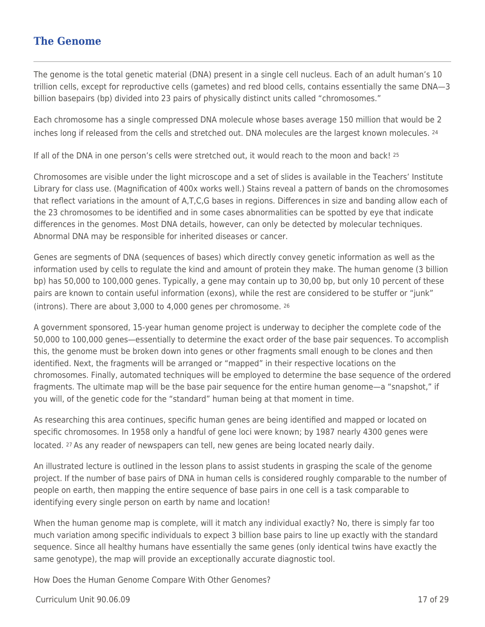## **The Genome**

The genome is the total genetic material (DNA) present in a single cell nucleus. Each of an adult human's 10 trillion cells, except for reproductive cells (gametes) and red blood cells, contains essentially the same DNA—3 billion basepairs (bp) divided into 23 pairs of physically distinct units called "chromosomes."

Each chromosome has a single compressed DNA molecule whose bases average 150 million that would be 2 inches long if released from the cells and stretched out. DNA molecules are the largest known molecules. <sup>24</sup>

If all of the DNA in one person's cells were stretched out, it would reach to the moon and back! <sup>25</sup>

Chromosomes are visible under the light microscope and a set of slides is available in the Teachers' Institute Library for class use. (Magnification of 400x works well.) Stains reveal a pattern of bands on the chromosomes that reflect variations in the amount of A,T,C,G bases in regions. Differences in size and banding allow each of the 23 chromosomes to be identified and in some cases abnormalities can be spotted by eye that indicate differences in the genomes. Most DNA details, however, can only be detected by molecular techniques. Abnormal DNA may be responsible for inherited diseases or cancer.

Genes are segments of DNA (sequences of bases) which directly convey genetic information as well as the information used by cells to regulate the kind and amount of protein they make. The human genome (3 billion bp) has 50,000 to 100,000 genes. Typically, a gene may contain up to 30,00 bp, but only 10 percent of these pairs are known to contain useful information (exons), while the rest are considered to be stuffer or "junk" (introns). There are about 3,000 to 4,000 genes per chromosome. <sup>26</sup>

A government sponsored, 15-year human genome project is underway to decipher the complete code of the 50,000 to 100,000 genes—essentially to determine the exact order of the base pair sequences. To accomplish this, the genome must be broken down into genes or other fragments small enough to be clones and then identified. Next, the fragments will be arranged or "mapped" in their respective locations on the chromosomes. Finally, automated techniques will be employed to determine the base sequence of the ordered fragments. The ultimate map will be the base pair sequence for the entire human genome—a "snapshot," if you will, of the genetic code for the "standard" human being at that moment in time.

As researching this area continues, specific human genes are being identified and mapped or located on specific chromosomes. In 1958 only a handful of gene loci were known; by 1987 nearly 4300 genes were located. 27 As any reader of newspapers can tell, new genes are being located nearly daily.

An illustrated lecture is outlined in the lesson plans to assist students in grasping the scale of the genome project. If the number of base pairs of DNA in human cells is considered roughly comparable to the number of people on earth, then mapping the entire sequence of base pairs in one cell is a task comparable to identifying every single person on earth by name and location!

When the human genome map is complete, will it match any individual exactly? No, there is simply far too much variation among specific individuals to expect 3 billion base pairs to line up exactly with the standard sequence. Since all healthy humans have essentially the same genes (only identical twins have exactly the same genotype), the map will provide an exceptionally accurate diagnostic tool.

How Does the Human Genome Compare With Other Genomes?

Curriculum Unit 90.06.09 17 of 29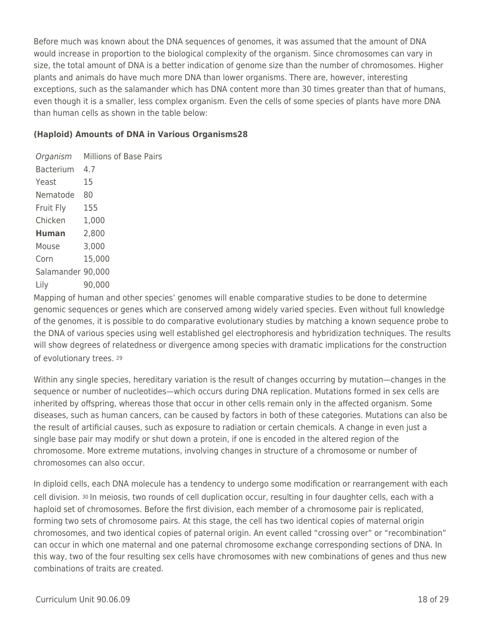Before much was known about the DNA sequences of genomes, it was assumed that the amount of DNA would increase in proportion to the biological complexity of the organism. Since chromosomes can vary in size, the total amount of DNA is a better indication of genome size than the number of chromosomes. Higher plants and animals do have much more DNA than lower organisms. There are, however, interesting exceptions, such as the salamander which has DNA content more than 30 times greater than that of humans, even though it is a smaller, less complex organism. Even the cells of some species of plants have more DNA than human cells as shown in the table below:

### **(Haploid) Amounts of DNA in Various Organisms28**

Organism Millions of Base Pairs Bacterium 4.7 Yeast 15 Nematode 80 Fruit Fly 155 Chicken 1,000 **Human** 2,800 Mouse 3,000 Corn 15,000 Salamander 90,000 Lily 90,000

Mapping of human and other species' genomes will enable comparative studies to be done to determine genomic sequences or genes which are conserved among widely varied species. Even without full knowledge of the genomes, it is possible to do comparative evolutionary studies by matching a known sequence probe to the DNA of various species using well established gel electrophoresis and hybridization techniques. The results will show degrees of relatedness or divergence among species with dramatic implications for the construction of evolutionary trees. <sup>29</sup>

Within any single species, hereditary variation is the result of changes occurring by mutation—changes in the sequence or number of nucleotides—which occurs during DNA replication. Mutations formed in sex cells are inherited by offspring, whereas those that occur in other cells remain only in the affected organism. Some diseases, such as human cancers, can be caused by factors in both of these categories. Mutations can also be the result of artificial causes, such as exposure to radiation or certain chemicals. A change in even just a single base pair may modify or shut down a protein, if one is encoded in the altered region of the chromosome. More extreme mutations, involving changes in structure of a chromosome or number of chromosomes can also occur.

In diploid cells, each DNA molecule has a tendency to undergo some modification or rearrangement with each cell division. 30 In meiosis, two rounds of cell duplication occur, resulting in four daughter cells, each with a haploid set of chromosomes. Before the first division, each member of a chromosome pair is replicated, forming two sets of chromosome pairs. At this stage, the cell has two identical copies of maternal origin chromosomes, and two identical copies of paternal origin. An event called "crossing over" or "recombination" can occur in which one maternal and one paternal chromosome exchange corresponding sections of DNA. In this way, two of the four resulting sex cells have chromosomes with new combinations of genes and thus new combinations of traits are created.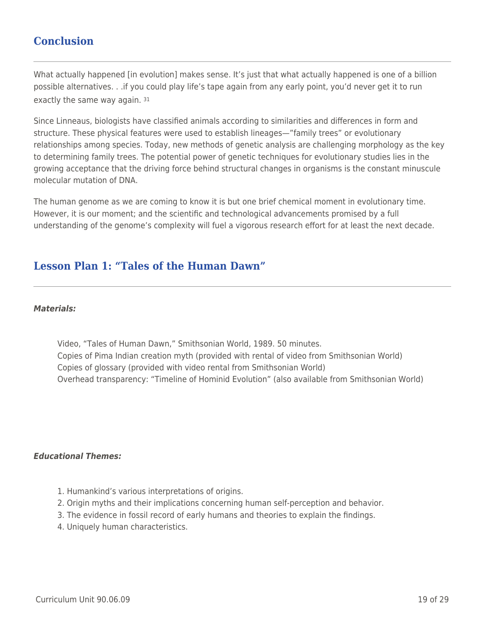## **Conclusion**

What actually happened [in evolution] makes sense. It's just that what actually happened is one of a billion possible alternatives. . .if you could play life's tape again from any early point, you'd never get it to run exactly the same way again. 31

Since Linneaus, biologists have classified animals according to similarities and differences in form and structure. These physical features were used to establish lineages—"family trees" or evolutionary relationships among species. Today, new methods of genetic analysis are challenging morphology as the key to determining family trees. The potential power of genetic techniques for evolutionary studies lies in the growing acceptance that the driving force behind structural changes in organisms is the constant minuscule molecular mutation of DNA.

The human genome as we are coming to know it is but one brief chemical moment in evolutionary time. However, it is our moment; and the scientific and technological advancements promised by a full understanding of the genome's complexity will fuel a vigorous research effort for at least the next decade.

## **Lesson Plan 1: "Tales of the Human Dawn"**

#### *Materials:*

Video, "Tales of Human Dawn," Smithsonian World, 1989. 50 minutes. Copies of Pima Indian creation myth (provided with rental of video from Smithsonian World) Copies of glossary (provided with video rental from Smithsonian World) Overhead transparency: "Timeline of Hominid Evolution" (also available from Smithsonian World)

### *Educational Themes:*

- 1. Humankind's various interpretations of origins.
- 2. Origin myths and their implications concerning human self-perception and behavior.
- 3. The evidence in fossil record of early humans and theories to explain the findings.
- 4. Uniquely human characteristics.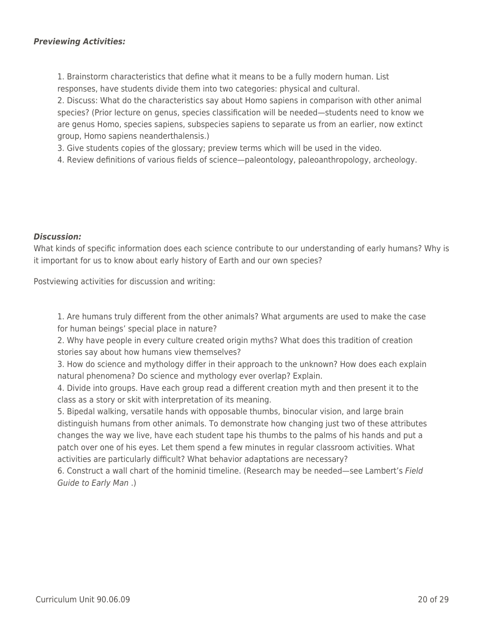1. Brainstorm characteristics that define what it means to be a fully modern human. List responses, have students divide them into two categories: physical and cultural.

2. Discuss: What do the characteristics say about Homo sapiens in comparison with other animal species? (Prior lecture on genus, species classification will be needed—students need to know we are genus Homo, species sapiens, subspecies sapiens to separate us from an earlier, now extinct group, Homo sapiens neanderthalensis.)

3. Give students copies of the glossary; preview terms which will be used in the video.

4. Review definitions of various fields of science—paleontology, paleoanthropology, archeology.

### *Discussion:*

What kinds of specific information does each science contribute to our understanding of early humans? Why is it important for us to know about early history of Earth and our own species?

Postviewing activities for discussion and writing:

1. Are humans truly different from the other animals? What arguments are used to make the case for human beings' special place in nature?

2. Why have people in every culture created origin myths? What does this tradition of creation stories say about how humans view themselves?

3. How do science and mythology differ in their approach to the unknown? How does each explain natural phenomena? Do science and mythology ever overlap? Explain.

4. Divide into groups. Have each group read a different creation myth and then present it to the class as a story or skit with interpretation of its meaning.

5. Bipedal walking, versatile hands with opposable thumbs, binocular vision, and large brain distinguish humans from other animals. To demonstrate how changing just two of these attributes changes the way we live, have each student tape his thumbs to the palms of his hands and put a patch over one of his eyes. Let them spend a few minutes in regular classroom activities. What activities are particularly difficult? What behavior adaptations are necessary?

6. Construct a wall chart of the hominid timeline. (Research may be needed—see Lambert's Field Guide to Early Man .)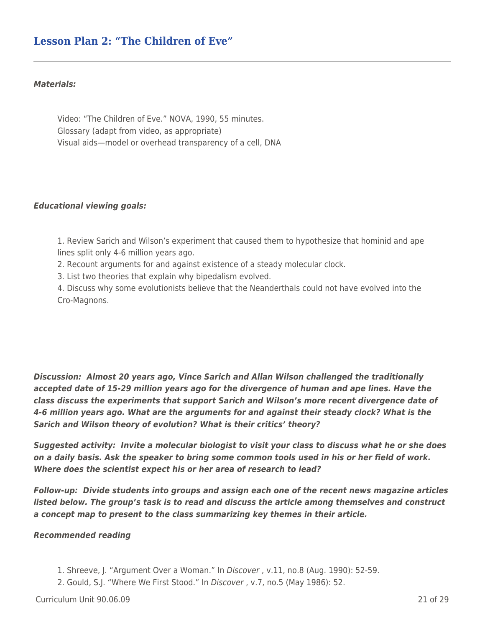## **Lesson Plan 2: "The Children of Eve"**

#### *Materials:*

Video: "The Children of Eve." NOVA, 1990, 55 minutes. Glossary (adapt from video, as appropriate) Visual aids—model or overhead transparency of a cell, DNA

#### *Educational viewing goals:*

1. Review Sarich and Wilson's experiment that caused them to hypothesize that hominid and ape lines split only 4-6 million years ago.

2. Recount arguments for and against existence of a steady molecular clock.

3. List two theories that explain why bipedalism evolved.

4. Discuss why some evolutionists believe that the Neanderthals could not have evolved into the Cro-Magnons.

*Discussion: Almost 20 years ago, Vince Sarich and Allan Wilson challenged the traditionally accepted date of 15-29 million years ago for the divergence of human and ape lines. Have the class discuss the experiments that support Sarich and Wilson's more recent divergence date of 4-6 million years ago. What are the arguments for and against their steady clock? What is the Sarich and Wilson theory of evolution? What is their critics' theory?*

*Suggested activity: Invite a molecular biologist to visit your class to discuss what he or she does on a daily basis. Ask the speaker to bring some common tools used in his or her field of work. Where does the scientist expect his or her area of research to lead?*

*Follow-up: Divide students into groups and assign each one of the recent news magazine articles listed below. The group's task is to read and discuss the article among themselves and construct a concept map to present to the class summarizing key themes in their article.*

#### *Recommended reading*

- 1. Shreeve, J. "Argument Over a Woman." In Discover , v.11, no.8 (Aug. 1990): 52-59.
- 2. Gould, S.J. "Where We First Stood." In Discover , v.7, no.5 (May 1986): 52.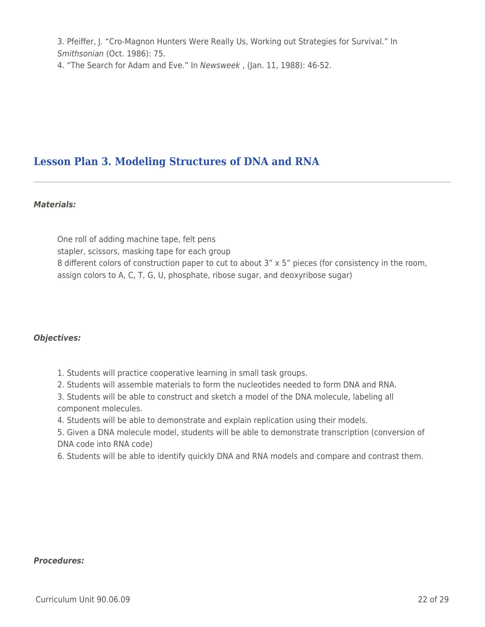3. Pfeiffer, J. "Cro-Magnon Hunters Were Really Us, Working out Strategies for Survival." In Smithsonian (Oct. 1986): 75.

4. "The Search for Adam and Eve." In Newsweek , (Jan. 11, 1988): 46-52.

## **Lesson Plan 3. Modeling Structures of DNA and RNA**

### *Materials:*

One roll of adding machine tape, felt pens stapler, scissors, masking tape for each group 8 different colors of construction paper to cut to about 3" x 5" pieces (for consistency in the room, assign colors to A, C, T, G, U, phosphate, ribose sugar, and deoxyribose sugar)

## *Objectives:*

- 1. Students will practice cooperative learning in small task groups.
- 2. Students will assemble materials to form the nucleotides needed to form DNA and RNA.
- 3. Students will be able to construct and sketch a model of the DNA molecule, labeling all component molecules.
- 4. Students will be able to demonstrate and explain replication using their models.
- 5. Given a DNA molecule model, students will be able to demonstrate transcription (conversion of DNA code into RNA code)
- 6. Students will be able to identify quickly DNA and RNA models and compare and contrast them.

#### *Procedures:*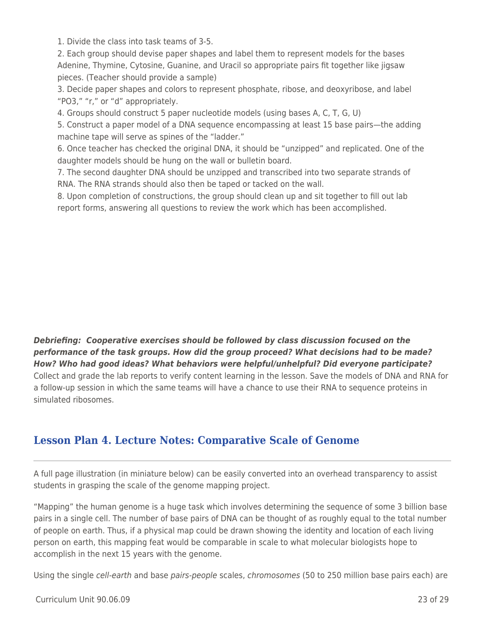1. Divide the class into task teams of 3-5.

2. Each group should devise paper shapes and label them to represent models for the bases Adenine, Thymine, Cytosine, Guanine, and Uracil so appropriate pairs fit together like jigsaw pieces. (Teacher should provide a sample)

3. Decide paper shapes and colors to represent phosphate, ribose, and deoxyribose, and label "PO3," "r," or "d" appropriately.

4. Groups should construct 5 paper nucleotide models (using bases A, C, T, G, U)

5. Construct a paper model of a DNA sequence encompassing at least 15 base pairs—the adding machine tape will serve as spines of the "ladder."

6. Once teacher has checked the original DNA, it should be "unzipped" and replicated. One of the daughter models should be hung on the wall or bulletin board.

7. The second daughter DNA should be unzipped and transcribed into two separate strands of RNA. The RNA strands should also then be taped or tacked on the wall.

8. Upon completion of constructions, the group should clean up and sit together to fill out lab report forms, answering all questions to review the work which has been accomplished.

*Debriefing: Cooperative exercises should be followed by class discussion focused on the performance of the task groups. How did the group proceed? What decisions had to be made? How? Who had good ideas? What behaviors were helpful/unhelpful? Did everyone participate?* Collect and grade the lab reports to verify content learning in the lesson. Save the models of DNA and RNA for a follow-up session in which the same teams will have a chance to use their RNA to sequence proteins in simulated ribosomes.

## **Lesson Plan 4. Lecture Notes: Comparative Scale of Genome**

A full page illustration (in miniature below) can be easily converted into an overhead transparency to assist students in grasping the scale of the genome mapping project.

"Mapping" the human genome is a huge task which involves determining the sequence of some 3 billion base pairs in a single cell. The number of base pairs of DNA can be thought of as roughly equal to the total number of people on earth. Thus, if a physical map could be drawn showing the identity and location of each living person on earth, this mapping feat would be comparable in scale to what molecular biologists hope to accomplish in the next 15 years with the genome.

Using the single cell-earth and base pairs-people scales, chromosomes (50 to 250 million base pairs each) are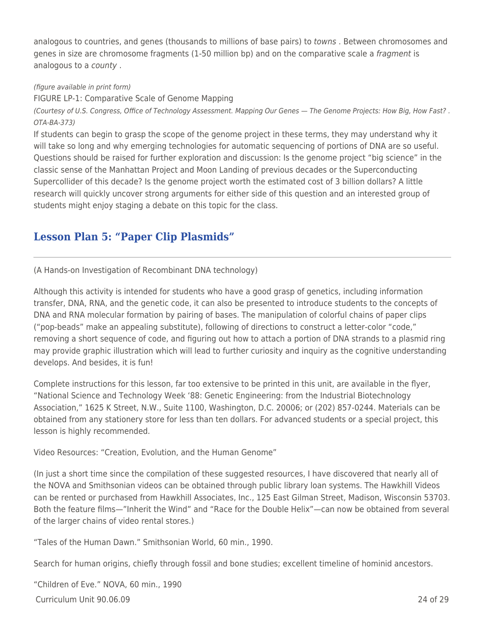analogous to countries, and genes (thousands to millions of base pairs) to *towns*. Between chromosomes and genes in size are chromosome fragments (1-50 million bp) and on the comparative scale a fragment is analogous to a county .

### (figure available in print form)

FIGURE LP-1: Comparative Scale of Genome Mapping

(Courtesy of U.S. Congress, Office of Technology Assessment. Mapping Our Genes — The Genome Projects: How Big, How Fast? . OTA-BA-373)

If students can begin to grasp the scope of the genome project in these terms, they may understand why it will take so long and why emerging technologies for automatic sequencing of portions of DNA are so useful. Questions should be raised for further exploration and discussion: Is the genome project "big science" in the classic sense of the Manhattan Project and Moon Landing of previous decades or the Superconducting Supercollider of this decade? Is the genome project worth the estimated cost of 3 billion dollars? A little research will quickly uncover strong arguments for either side of this question and an interested group of students might enjoy staging a debate on this topic for the class.

# **Lesson Plan 5: "Paper Clip Plasmids"**

(A Hands-on Investigation of Recombinant DNA technology)

Although this activity is intended for students who have a good grasp of genetics, including information transfer, DNA, RNA, and the genetic code, it can also be presented to introduce students to the concepts of DNA and RNA molecular formation by pairing of bases. The manipulation of colorful chains of paper clips ("pop-beads" make an appealing substitute), following of directions to construct a letter-color "code," removing a short sequence of code, and figuring out how to attach a portion of DNA strands to a plasmid ring may provide graphic illustration which will lead to further curiosity and inquiry as the cognitive understanding develops. And besides, it is fun!

Complete instructions for this lesson, far too extensive to be printed in this unit, are available in the flyer, "National Science and Technology Week '88: Genetic Engineering: from the Industrial Biotechnology Association," 1625 K Street, N.W., Suite 1100, Washington, D.C. 20006; or (202) 857-0244. Materials can be obtained from any stationery store for less than ten dollars. For advanced students or a special project, this lesson is highly recommended.

Video Resources: "Creation, Evolution, and the Human Genome"

(In just a short time since the compilation of these suggested resources, I have discovered that nearly all of the NOVA and Smithsonian videos can be obtained through public library loan systems. The Hawkhill Videos can be rented or purchased from Hawkhill Associates, Inc., 125 East Gilman Street, Madison, Wisconsin 53703. Both the feature films—"Inherit the Wind" and "Race for the Double Helix"—can now be obtained from several of the larger chains of video rental stores.)

"Tales of the Human Dawn." Smithsonian World, 60 min., 1990.

Search for human origins, chiefly through fossil and bone studies; excellent timeline of hominid ancestors.

Curriculum Unit 90.06.09 24 of 29 "Children of Eve." NOVA, 60 min., 1990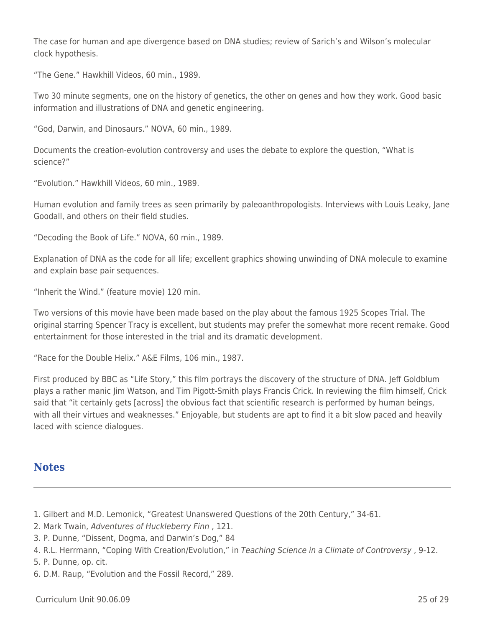The case for human and ape divergence based on DNA studies; review of Sarich's and Wilson's molecular clock hypothesis.

"The Gene." Hawkhill Videos, 60 min., 1989.

Two 30 minute segments, one on the history of genetics, the other on genes and how they work. Good basic information and illustrations of DNA and genetic engineering.

"God, Darwin, and Dinosaurs." NOVA, 60 min., 1989.

Documents the creation-evolution controversy and uses the debate to explore the question, "What is science?"

"Evolution." Hawkhill Videos, 60 min., 1989.

Human evolution and family trees as seen primarily by paleoanthropologists. Interviews with Louis Leaky, Jane Goodall, and others on their field studies.

"Decoding the Book of Life." NOVA, 60 min., 1989.

Explanation of DNA as the code for all life; excellent graphics showing unwinding of DNA molecule to examine and explain base pair sequences.

"Inherit the Wind." (feature movie) 120 min.

Two versions of this movie have been made based on the play about the famous 1925 Scopes Trial. The original starring Spencer Tracy is excellent, but students may prefer the somewhat more recent remake. Good entertainment for those interested in the trial and its dramatic development.

"Race for the Double Helix." A&E Films, 106 min., 1987.

First produced by BBC as "Life Story," this film portrays the discovery of the structure of DNA. Jeff Goldblum plays a rather manic Jim Watson, and Tim Pigott-Smith plays Francis Crick. In reviewing the film himself, Crick said that "it certainly gets [across] the obvious fact that scientific research is performed by human beings, with all their virtues and weaknesses." Enjoyable, but students are apt to find it a bit slow paced and heavily laced with science dialogues.

## **Notes**

- 1. Gilbert and M.D. Lemonick, "Greatest Unanswered Questions of the 20th Century," 34-61.
- 2. Mark Twain, Adventures of Huckleberry Finn , 121.
- 3. P. Dunne, "Dissent, Dogma, and Darwin's Dog," 84
- 4. R.L. Herrmann, "Coping With Creation/Evolution," in Teaching Science in a Climate of Controversy , 9-12.
- 5. P. Dunne, op. cit.
- 6. D.M. Raup, "Evolution and the Fossil Record," 289.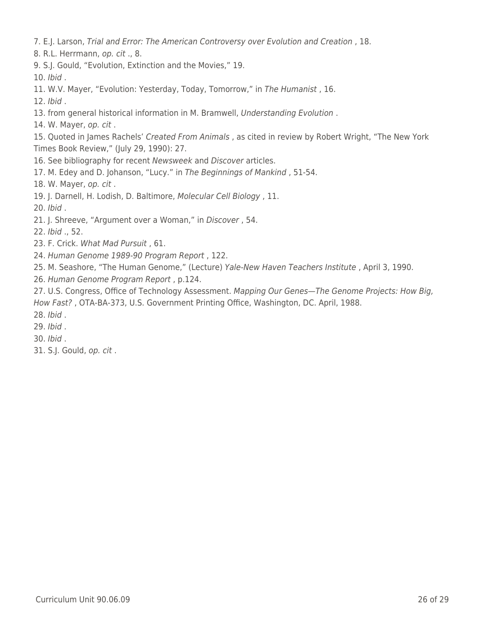7. E.J. Larson, Trial and Error: The American Controversy over Evolution and Creation , 18.

8. R.L. Herrmann, op. cit ., 8.

9. S.J. Gould, "Evolution, Extinction and the Movies," 19.

10. Ibid .

11. W.V. Mayer, "Evolution: Yesterday, Today, Tomorrow," in The Humanist , 16.

12. Ibid .

13. from general historical information in M. Bramwell, Understanding Evolution .

14. W. Mayer, op. cit .

15. Quoted in James Rachels' Created From Animals, as cited in review by Robert Wright, "The New York Times Book Review," (July 29, 1990): 27.

16. See bibliography for recent Newsweek and Discover articles.

17. M. Edey and D. Johanson, "Lucy." in The Beginnings of Mankind , 51-54.

18. W. Mayer, op. cit .

19. J. Darnell, H. Lodish, D. Baltimore, Molecular Cell Biology , 11.

20. Ibid .

21. J. Shreeve, "Argument over a Woman," in Discover , 54.

22. Ibid ., 52.

- 23. F. Crick. What Mad Pursuit , 61.
- 24. Human Genome 1989-90 Program Report , 122.
- 25. M. Seashore, "The Human Genome," (Lecture) Yale-New Haven Teachers Institute , April 3, 1990.
- 26. Human Genome Program Report , p.124.

27. U.S. Congress, Office of Technology Assessment. Mapping Our Genes-The Genome Projects: How Big, How Fast? , OTA-BA-373, U.S. Government Printing Office, Washington, DC. April, 1988.

28. Ibid .

29. Ibid .

30. Ibid .

31. S.J. Gould, op. cit .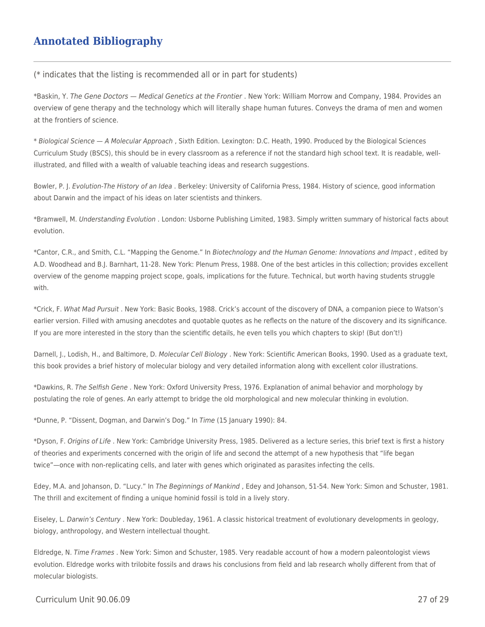## **Annotated Bibliography**

(\* indicates that the listing is recommended all or in part for students)

\*Baskin, Y. The Gene Doctors — Medical Genetics at the Frontier . New York: William Morrow and Company, 1984. Provides an overview of gene therapy and the technology which will literally shape human futures. Conveys the drama of men and women at the frontiers of science.

\* Biological Science — A Molecular Approach , Sixth Edition. Lexington: D.C. Heath, 1990. Produced by the Biological Sciences Curriculum Study (BSCS), this should be in every classroom as a reference if not the standard high school text. It is readable, wellillustrated, and filled with a wealth of valuable teaching ideas and research suggestions.

Bowler, P. J. Evolution-The History of an Idea . Berkeley: University of California Press, 1984. History of science, good information about Darwin and the impact of his ideas on later scientists and thinkers.

\*Bramwell, M. Understanding Evolution . London: Usborne Publishing Limited, 1983. Simply written summary of historical facts about evolution.

\*Cantor, C.R., and Smith, C.L. "Mapping the Genome." In Biotechnology and the Human Genome: Innovations and Impact , edited by A.D. Woodhead and B.J. Barnhart, 11-28. New York: Plenum Press, 1988. One of the best articles in this collection; provides excellent overview of the genome mapping project scope, goals, implications for the future. Technical, but worth having students struggle with.

\*Crick, F. What Mad Pursuit . New York: Basic Books, 1988. Crick's account of the discovery of DNA, a companion piece to Watson's earlier version. Filled with amusing anecdotes and quotable quotes as he reflects on the nature of the discovery and its significance. If you are more interested in the story than the scientific details, he even tells you which chapters to skip! (But don't!)

Darnell, J., Lodish, H., and Baltimore, D. Molecular Cell Biology . New York: Scientific American Books, 1990. Used as a graduate text, this book provides a brief history of molecular biology and very detailed information along with excellent color illustrations.

\*Dawkins, R. The Selfish Gene . New York: Oxford University Press, 1976. Explanation of animal behavior and morphology by postulating the role of genes. An early attempt to bridge the old morphological and new molecular thinking in evolution.

\*Dunne, P. "Dissent, Dogman, and Darwin's Dog." In Time (15 January 1990): 84.

\*Dyson, F. Origins of Life . New York: Cambridge University Press, 1985. Delivered as a lecture series, this brief text is first a history of theories and experiments concerned with the origin of life and second the attempt of a new hypothesis that "life began twice"—once with non-replicating cells, and later with genes which originated as parasites infecting the cells.

Edey, M.A. and Johanson, D. "Lucy." In The Beginnings of Mankind , Edey and Johanson, 51-54. New York: Simon and Schuster, 1981. The thrill and excitement of finding a unique hominid fossil is told in a lively story.

Eiseley, L. Darwin's Century . New York: Doubleday, 1961. A classic historical treatment of evolutionary developments in geology, biology, anthropology, and Western intellectual thought.

Eldredge, N. Time Frames . New York: Simon and Schuster, 1985. Very readable account of how a modern paleontologist views evolution. Eldredge works with trilobite fossils and draws his conclusions from field and lab research wholly different from that of molecular biologists.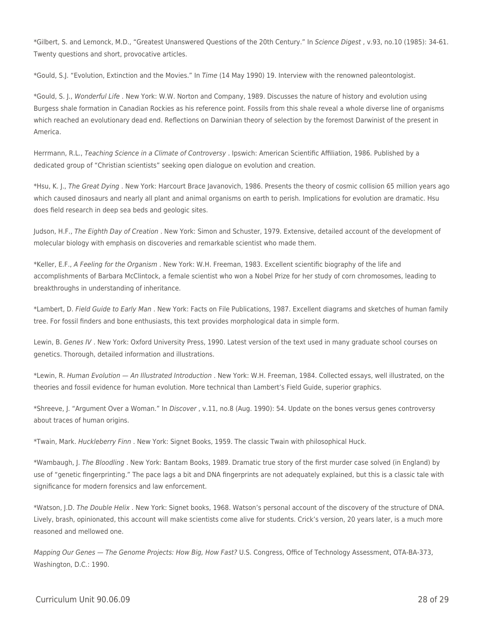\*Gilbert, S. and Lemonck, M.D., "Greatest Unanswered Questions of the 20th Century." In Science Digest , v.93, no.10 (1985): 34-61. Twenty questions and short, provocative articles.

\*Gould, S.J. "Evolution, Extinction and the Movies." In Time (14 May 1990) 19. Interview with the renowned paleontologist.

\*Gould, S. J., Wonderful Life . New York: W.W. Norton and Company, 1989. Discusses the nature of history and evolution using Burgess shale formation in Canadian Rockies as his reference point. Fossils from this shale reveal a whole diverse line of organisms which reached an evolutionary dead end. Reflections on Darwinian theory of selection by the foremost Darwinist of the present in America.

Herrmann, R.L., Teaching Science in a Climate of Controversy . Ipswich: American Scientific Affiliation, 1986. Published by a dedicated group of "Christian scientists" seeking open dialogue on evolution and creation.

\*Hsu, K. J., The Great Dying . New York: Harcourt Brace Javanovich, 1986. Presents the theory of cosmic collision 65 million years ago which caused dinosaurs and nearly all plant and animal organisms on earth to perish. Implications for evolution are dramatic. Hsu does field research in deep sea beds and geologic sites.

Judson, H.F., The Eighth Day of Creation . New York: Simon and Schuster, 1979. Extensive, detailed account of the development of molecular biology with emphasis on discoveries and remarkable scientist who made them.

\*Keller, E.F., A Feeling for the Organism . New York: W.H. Freeman, 1983. Excellent scientific biography of the life and accomplishments of Barbara McClintock, a female scientist who won a Nobel Prize for her study of corn chromosomes, leading to breakthroughs in understanding of inheritance.

\*Lambert, D. Field Guide to Early Man . New York: Facts on File Publications, 1987. Excellent diagrams and sketches of human family tree. For fossil finders and bone enthusiasts, this text provides morphological data in simple form.

Lewin, B. Genes IV . New York: Oxford University Press, 1990. Latest version of the text used in many graduate school courses on genetics. Thorough, detailed information and illustrations.

\*Lewin, R. Human Evolution — An Illustrated Introduction . New York: W.H. Freeman, 1984. Collected essays, well illustrated, on the theories and fossil evidence for human evolution. More technical than Lambert's Field Guide, superior graphics.

\*Shreeve, J. "Argument Over a Woman." In Discover , v.11, no.8 (Aug. 1990): 54. Update on the bones versus genes controversy about traces of human origins.

\*Twain, Mark. Huckleberry Finn . New York: Signet Books, 1959. The classic Twain with philosophical Huck.

\*Wambaugh, J. The Bloodling . New York: Bantam Books, 1989. Dramatic true story of the first murder case solved (in England) by use of "genetic fingerprinting." The pace lags a bit and DNA fingerprints are not adequately explained, but this is a classic tale with significance for modern forensics and law enforcement.

\*Watson, J.D. The Double Helix . New York: Signet books, 1968. Watson's personal account of the discovery of the structure of DNA. Lively, brash, opinionated, this account will make scientists come alive for students. Crick's version, 20 years later, is a much more reasoned and mellowed one.

Mapping Our Genes — The Genome Projects: How Big, How Fast? U.S. Congress, Office of Technology Assessment, OTA-BA-373, Washington, D.C.: 1990.